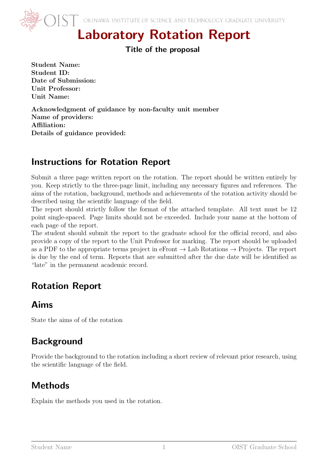OKINAWA INSTITUTE OF SCIENCE AND TECHNOLOGY GRADUATE UNIVERSITY



# Laboratory Rotation Report

#### Title of the proposal

Student Name: Student ID: Date of Submission: Unit Professor: Unit Name:

Acknowledgment of guidance by non-faculty unit member Name of providers: Affiliation: Details of guidance provided:

# Instructions for Rotation Report

Submit a three page written report on the rotation. The report should be written entirely by you. Keep strictly to the three-page limit, including any necessary figures and references. The aims of the rotation, background, methods and achievements of the rotation activity should be described using the scientific language of the field.

The report should strictly follow the format of the attached template. All text must be 12 point single-spaced. Page limits should not be exceeded. Include your name at the bottom of each page of the report.

The student should submit the report to the graduate school for the official record, and also provide a copy of the report to the Unit Professor for marking. The report should be uploaded as a PDF to the appropriate terms project in eFront  $\rightarrow$  Lab Rotations  $\rightarrow$  Projects. The report is due by the end of term. Reports that are submitted after the due date will be identified as "late" in the permanent academic record.

# Rotation Report

#### Aims

State the aims of of the rotation

# Background

Provide the background to the rotation including a short review of relevant prior research, using the scientific language of the field.

# Methods

Explain the methods you used in the rotation.